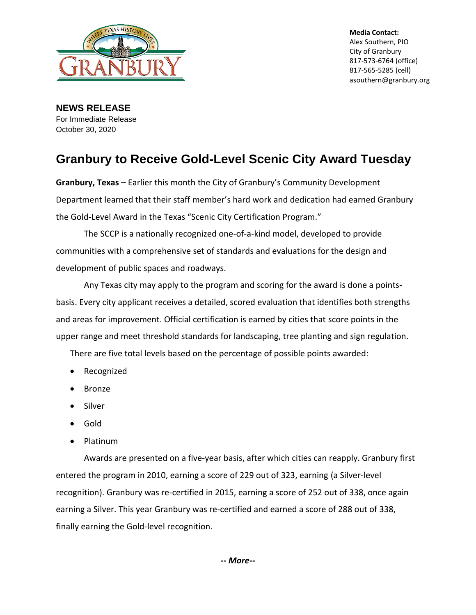

**Media Contact:** Alex Southern, PIO City of Granbury 817-573-6764 (office) 817-565-5285 (cell) asouthern@granbury.org

**NEWS RELEASE** For Immediate Release October 30, 2020

## **Granbury to Receive Gold-Level Scenic City Award Tuesday**

**Granbury, Texas –** Earlier this month the City of Granbury's Community Development Department learned that their staff member's hard work and dedication had earned Granbury the Gold-Level Award in the Texas "Scenic City Certification Program."

The SCCP is a nationally recognized one-of-a-kind model, developed to provide communities with a comprehensive set of standards and evaluations for the design and development of public spaces and roadways.

Any Texas city may apply to the program and scoring for the award is done a pointsbasis. Every city applicant receives a detailed, scored evaluation that identifies both strengths and areas for improvement. Official certification is earned by cities that score points in the upper range and meet threshold standards for landscaping, tree planting and sign regulation.

There are five total levels based on the percentage of possible points awarded:

- Recognized
- **Bronze**
- Silver
- Gold
- Platinum

Awards are presented on a five-year basis, after which cities can reapply. Granbury first entered the program in 2010, earning a score of 229 out of 323, earning (a Silver-level recognition). Granbury was re-certified in 2015, earning a score of 252 out of 338, once again earning a Silver. This year Granbury was re-certified and earned a score of 288 out of 338, finally earning the Gold-level recognition.